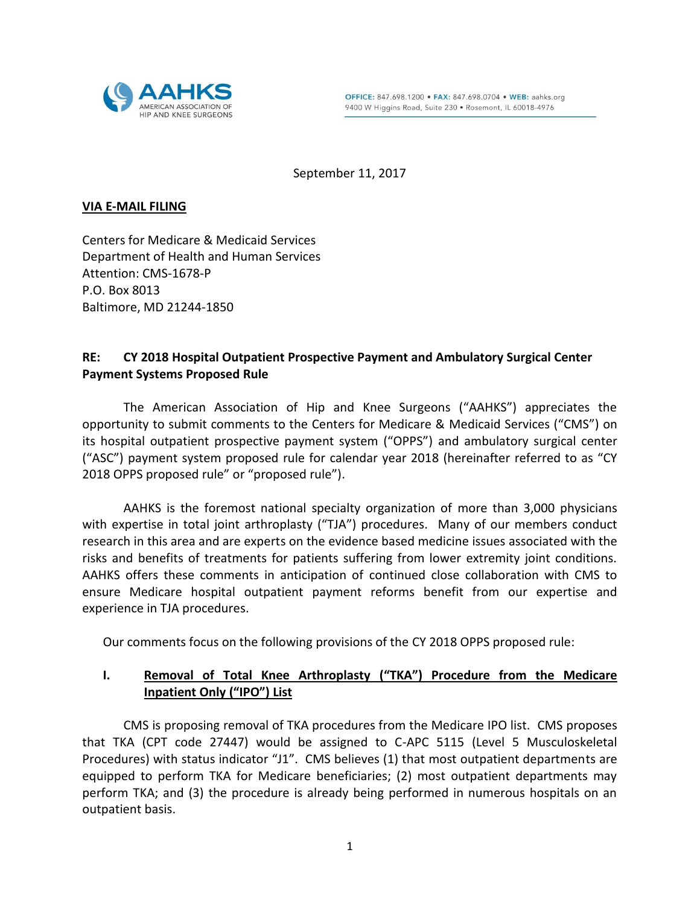

September 11, 2017

#### **VIA E-MAIL FILING**

Centers for Medicare & Medicaid Services Department of Health and Human Services Attention: CMS-1678-P P.O. Box 8013 Baltimore, MD 21244-1850

## **RE: CY 2018 Hospital Outpatient Prospective Payment and Ambulatory Surgical Center Payment Systems Proposed Rule**

The American Association of Hip and Knee Surgeons ("AAHKS") appreciates the opportunity to submit comments to the Centers for Medicare & Medicaid Services ("CMS") on its hospital outpatient prospective payment system ("OPPS") and ambulatory surgical center ("ASC") payment system proposed rule for calendar year 2018 (hereinafter referred to as "CY 2018 OPPS proposed rule" or "proposed rule").

AAHKS is the foremost national specialty organization of more than 3,000 physicians with expertise in total joint arthroplasty ("TJA") procedures. Many of our members conduct research in this area and are experts on the evidence based medicine issues associated with the risks and benefits of treatments for patients suffering from lower extremity joint conditions. AAHKS offers these comments in anticipation of continued close collaboration with CMS to ensure Medicare hospital outpatient payment reforms benefit from our expertise and experience in TJA procedures.

Our comments focus on the following provisions of the CY 2018 OPPS proposed rule:

## **I. Removal of Total Knee Arthroplasty ("TKA") Procedure from the Medicare Inpatient Only ("IPO") List**

CMS is proposing removal of TKA procedures from the Medicare IPO list. CMS proposes that TKA (CPT code 27447) would be assigned to C-APC 5115 (Level 5 Musculoskeletal Procedures) with status indicator "J1". CMS believes (1) that most outpatient departments are equipped to perform TKA for Medicare beneficiaries; (2) most outpatient departments may perform TKA; and (3) the procedure is already being performed in numerous hospitals on an outpatient basis.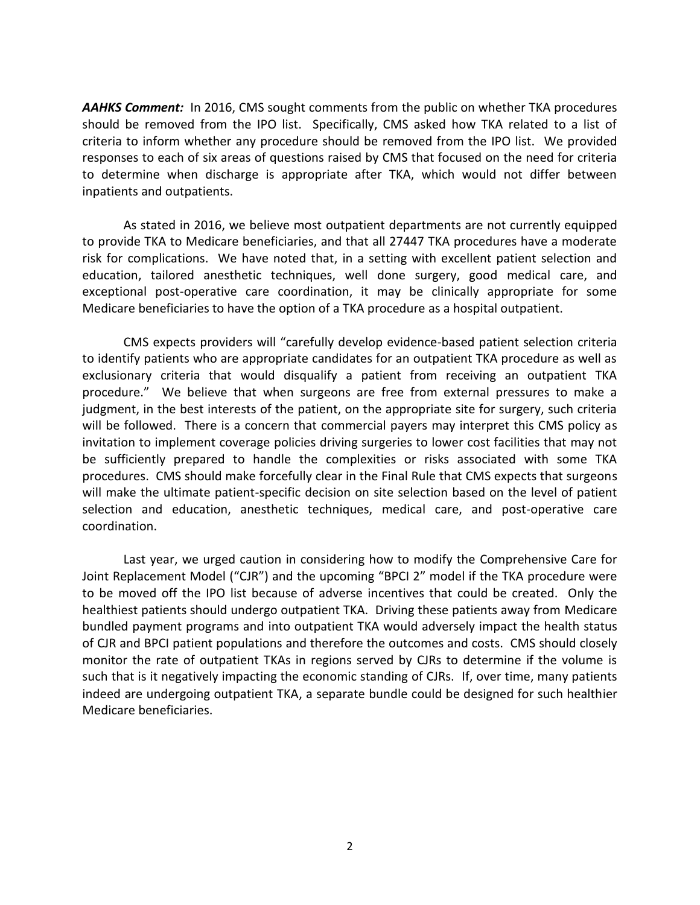*AAHKS Comment:* In 2016, CMS sought comments from the public on whether TKA procedures should be removed from the IPO list. Specifically, CMS asked how TKA related to a list of criteria to inform whether any procedure should be removed from the IPO list. We provided responses to each of six areas of questions raised by CMS that focused on the need for criteria to determine when discharge is appropriate after TKA, which would not differ between inpatients and outpatients.

As stated in 2016, we believe most outpatient departments are not currently equipped to provide TKA to Medicare beneficiaries, and that all 27447 TKA procedures have a moderate risk for complications. We have noted that, in a setting with excellent patient selection and education, tailored anesthetic techniques, well done surgery, good medical care, and exceptional post-operative care coordination, it may be clinically appropriate for some Medicare beneficiaries to have the option of a TKA procedure as a hospital outpatient.

CMS expects providers will "carefully develop evidence-based patient selection criteria to identify patients who are appropriate candidates for an outpatient TKA procedure as well as exclusionary criteria that would disqualify a patient from receiving an outpatient TKA procedure." We believe that when surgeons are free from external pressures to make a judgment, in the best interests of the patient, on the appropriate site for surgery, such criteria will be followed. There is a concern that commercial payers may interpret this CMS policy as invitation to implement coverage policies driving surgeries to lower cost facilities that may not be sufficiently prepared to handle the complexities or risks associated with some TKA procedures. CMS should make forcefully clear in the Final Rule that CMS expects that surgeons will make the ultimate patient-specific decision on site selection based on the level of patient selection and education, anesthetic techniques, medical care, and post-operative care coordination.

Last year, we urged caution in considering how to modify the Comprehensive Care for Joint Replacement Model ("CJR") and the upcoming "BPCI 2" model if the TKA procedure were to be moved off the IPO list because of adverse incentives that could be created. Only the healthiest patients should undergo outpatient TKA. Driving these patients away from Medicare bundled payment programs and into outpatient TKA would adversely impact the health status of CJR and BPCI patient populations and therefore the outcomes and costs. CMS should closely monitor the rate of outpatient TKAs in regions served by CJRs to determine if the volume is such that is it negatively impacting the economic standing of CJRs. If, over time, many patients indeed are undergoing outpatient TKA, a separate bundle could be designed for such healthier Medicare beneficiaries.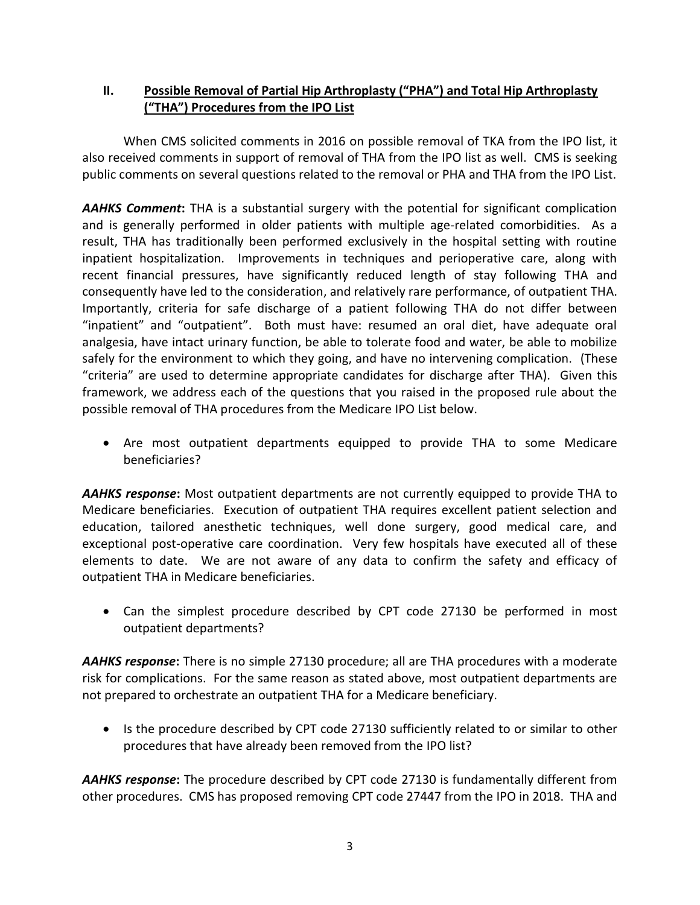# **II. Possible Removal of Partial Hip Arthroplasty ("PHA") and Total Hip Arthroplasty ("THA") Procedures from the IPO List**

When CMS solicited comments in 2016 on possible removal of TKA from the IPO list, it also received comments in support of removal of THA from the IPO list as well. CMS is seeking public comments on several questions related to the removal or PHA and THA from the IPO List.

*AAHKS Comment***:** THA is a substantial surgery with the potential for significant complication and is generally performed in older patients with multiple age-related comorbidities. As a result, THA has traditionally been performed exclusively in the hospital setting with routine inpatient hospitalization. Improvements in techniques and perioperative care, along with recent financial pressures, have significantly reduced length of stay following THA and consequently have led to the consideration, and relatively rare performance, of outpatient THA. Importantly, criteria for safe discharge of a patient following THA do not differ between "inpatient" and "outpatient". Both must have: resumed an oral diet, have adequate oral analgesia, have intact urinary function, be able to tolerate food and water, be able to mobilize safely for the environment to which they going, and have no intervening complication. (These "criteria" are used to determine appropriate candidates for discharge after THA). Given this framework, we address each of the questions that you raised in the proposed rule about the possible removal of THA procedures from the Medicare IPO List below.

 Are most outpatient departments equipped to provide THA to some Medicare beneficiaries?

*AAHKS response***:** Most outpatient departments are not currently equipped to provide THA to Medicare beneficiaries. Execution of outpatient THA requires excellent patient selection and education, tailored anesthetic techniques, well done surgery, good medical care, and exceptional post-operative care coordination. Very few hospitals have executed all of these elements to date. We are not aware of any data to confirm the safety and efficacy of outpatient THA in Medicare beneficiaries.

 Can the simplest procedure described by CPT code 27130 be performed in most outpatient departments?

*AAHKS response***:** There is no simple 27130 procedure; all are THA procedures with a moderate risk for complications. For the same reason as stated above, most outpatient departments are not prepared to orchestrate an outpatient THA for a Medicare beneficiary.

• Is the procedure described by CPT code 27130 sufficiently related to or similar to other procedures that have already been removed from the IPO list?

*AAHKS response***:** The procedure described by CPT code 27130 is fundamentally different from other procedures. CMS has proposed removing CPT code 27447 from the IPO in 2018. THA and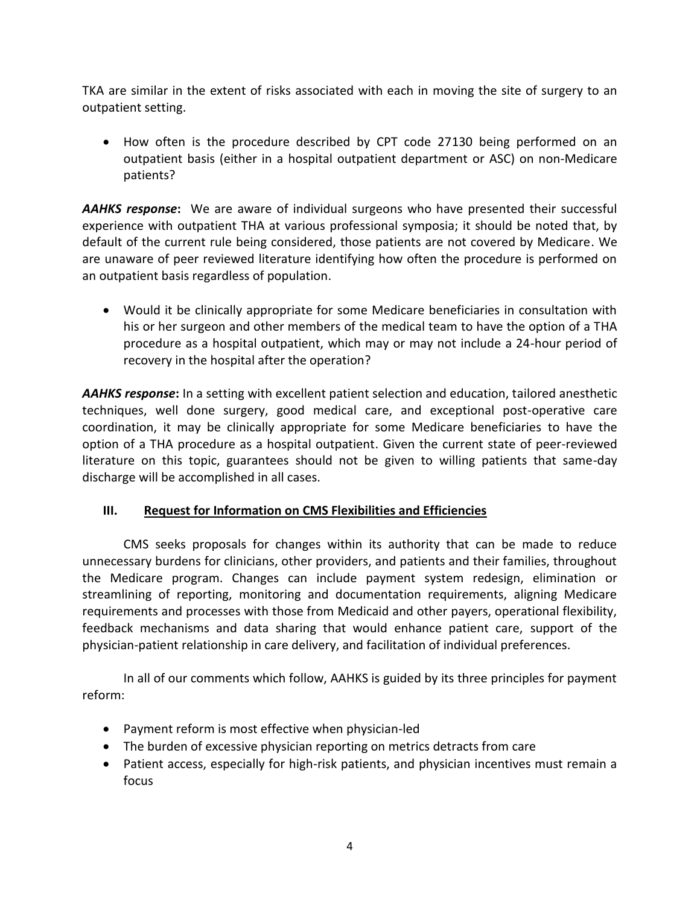TKA are similar in the extent of risks associated with each in moving the site of surgery to an outpatient setting.

 How often is the procedure described by CPT code 27130 being performed on an outpatient basis (either in a hospital outpatient department or ASC) on non-Medicare patients?

*AAHKS response***:** We are aware of individual surgeons who have presented their successful experience with outpatient THA at various professional symposia; it should be noted that, by default of the current rule being considered, those patients are not covered by Medicare. We are unaware of peer reviewed literature identifying how often the procedure is performed on an outpatient basis regardless of population.

 Would it be clinically appropriate for some Medicare beneficiaries in consultation with his or her surgeon and other members of the medical team to have the option of a THA procedure as a hospital outpatient, which may or may not include a 24-hour period of recovery in the hospital after the operation?

*AAHKS response***:** In a setting with excellent patient selection and education, tailored anesthetic techniques, well done surgery, good medical care, and exceptional post-operative care coordination, it may be clinically appropriate for some Medicare beneficiaries to have the option of a THA procedure as a hospital outpatient. Given the current state of peer-reviewed literature on this topic, guarantees should not be given to willing patients that same-day discharge will be accomplished in all cases.

# **III. Request for Information on CMS Flexibilities and Efficiencies**

CMS seeks proposals for changes within its authority that can be made to reduce unnecessary burdens for clinicians, other providers, and patients and their families, throughout the Medicare program. Changes can include payment system redesign, elimination or streamlining of reporting, monitoring and documentation requirements, aligning Medicare requirements and processes with those from Medicaid and other payers, operational flexibility, feedback mechanisms and data sharing that would enhance patient care, support of the physician-patient relationship in care delivery, and facilitation of individual preferences.

In all of our comments which follow, AAHKS is guided by its three principles for payment reform:

- Payment reform is most effective when physician-led
- The burden of excessive physician reporting on metrics detracts from care
- Patient access, especially for high-risk patients, and physician incentives must remain a focus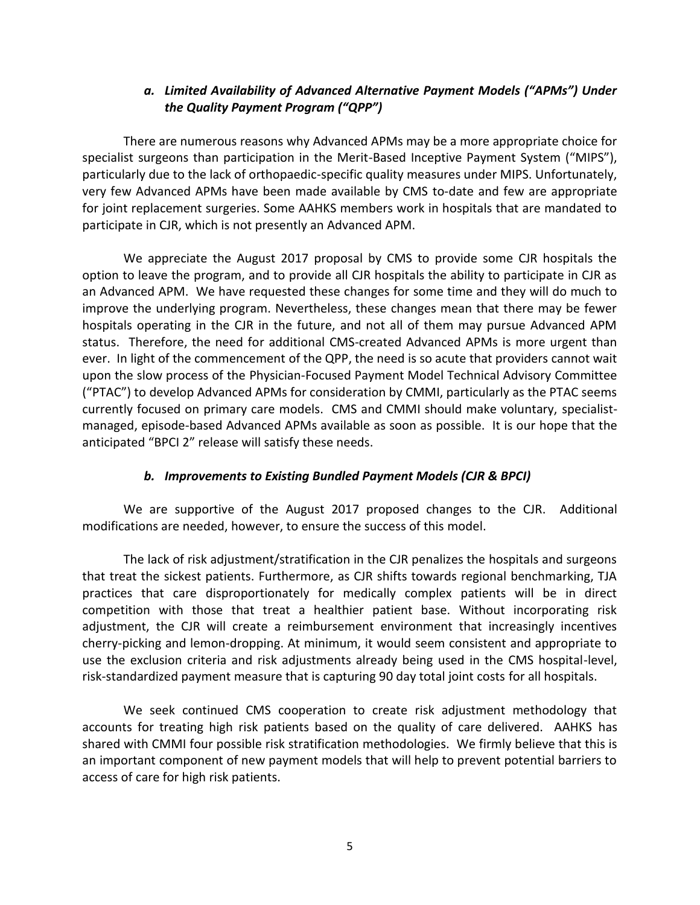## *a. Limited Availability of Advanced Alternative Payment Models ("APMs") Under the Quality Payment Program ("QPP")*

There are numerous reasons why Advanced APMs may be a more appropriate choice for specialist surgeons than participation in the Merit-Based Inceptive Payment System ("MIPS"), particularly due to the lack of orthopaedic-specific quality measures under MIPS. Unfortunately, very few Advanced APMs have been made available by CMS to-date and few are appropriate for joint replacement surgeries. Some AAHKS members work in hospitals that are mandated to participate in CJR, which is not presently an Advanced APM.

We appreciate the August 2017 proposal by CMS to provide some CJR hospitals the option to leave the program, and to provide all CJR hospitals the ability to participate in CJR as an Advanced APM. We have requested these changes for some time and they will do much to improve the underlying program. Nevertheless, these changes mean that there may be fewer hospitals operating in the CJR in the future, and not all of them may pursue Advanced APM status. Therefore, the need for additional CMS-created Advanced APMs is more urgent than ever. In light of the commencement of the QPP, the need is so acute that providers cannot wait upon the slow process of the Physician-Focused Payment Model Technical Advisory Committee ("PTAC") to develop Advanced APMs for consideration by CMMI, particularly as the PTAC seems currently focused on primary care models. CMS and CMMI should make voluntary, specialistmanaged, episode-based Advanced APMs available as soon as possible. It is our hope that the anticipated "BPCI 2" release will satisfy these needs.

## *b. Improvements to Existing Bundled Payment Models (CJR & BPCI)*

We are supportive of the August 2017 proposed changes to the CJR. Additional modifications are needed, however, to ensure the success of this model.

The lack of risk adjustment/stratification in the CJR penalizes the hospitals and surgeons that treat the sickest patients. Furthermore, as CJR shifts towards regional benchmarking, TJA practices that care disproportionately for medically complex patients will be in direct competition with those that treat a healthier patient base. Without incorporating risk adjustment, the CJR will create a reimbursement environment that increasingly incentives cherry-picking and lemon-dropping. At minimum, it would seem consistent and appropriate to use the exclusion criteria and risk adjustments already being used in the CMS hospital-level, risk-standardized payment measure that is capturing 90 day total joint costs for all hospitals.

We seek continued CMS cooperation to create risk adjustment methodology that accounts for treating high risk patients based on the quality of care delivered. AAHKS has shared with CMMI four possible risk stratification methodologies. We firmly believe that this is an important component of new payment models that will help to prevent potential barriers to access of care for high risk patients.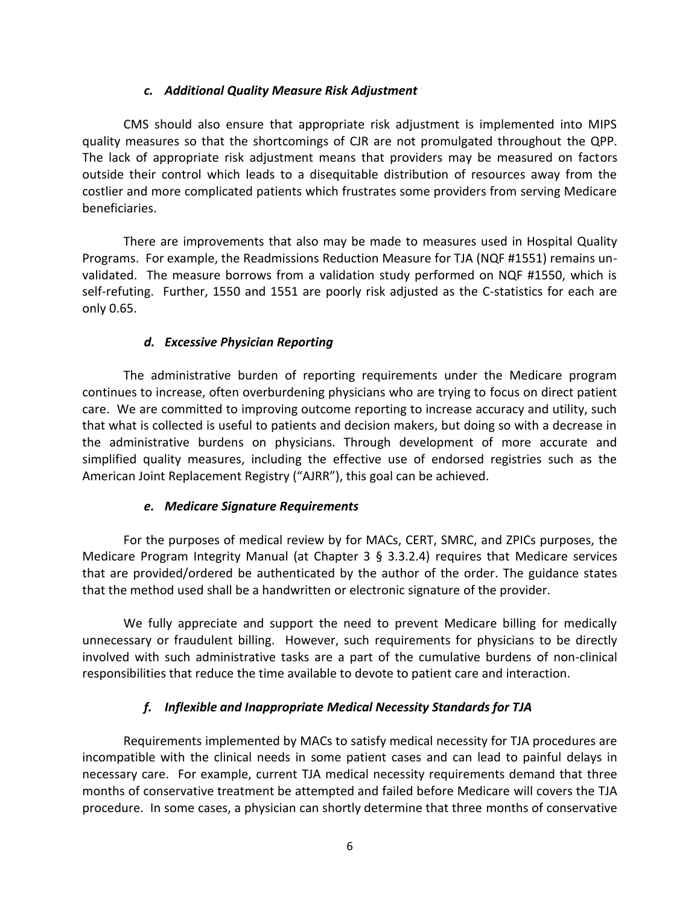#### *c. Additional Quality Measure Risk Adjustment*

CMS should also ensure that appropriate risk adjustment is implemented into MIPS quality measures so that the shortcomings of CJR are not promulgated throughout the QPP. The lack of appropriate risk adjustment means that providers may be measured on factors outside their control which leads to a disequitable distribution of resources away from the costlier and more complicated patients which frustrates some providers from serving Medicare beneficiaries.

There are improvements that also may be made to measures used in Hospital Quality Programs. For example, the Readmissions Reduction Measure for TJA (NQF #1551) remains unvalidated. The measure borrows from a validation study performed on NQF #1550, which is self-refuting. Further, 1550 and 1551 are poorly risk adjusted as the C-statistics for each are only 0.65.

#### *d. Excessive Physician Reporting*

The administrative burden of reporting requirements under the Medicare program continues to increase, often overburdening physicians who are trying to focus on direct patient care. We are committed to improving outcome reporting to increase accuracy and utility, such that what is collected is useful to patients and decision makers, but doing so with a decrease in the administrative burdens on physicians. Through development of more accurate and simplified quality measures, including the effective use of endorsed registries such as the American Joint Replacement Registry ("AJRR"), this goal can be achieved.

## *e. Medicare Signature Requirements*

For the purposes of medical review by for MACs, CERT, SMRC, and ZPICs purposes, the Medicare Program Integrity Manual (at Chapter 3  $\S$  3.3.2.4) requires that Medicare services that are provided/ordered be authenticated by the author of the order. The guidance states that the method used shall be a handwritten or electronic signature of the provider.

We fully appreciate and support the need to prevent Medicare billing for medically unnecessary or fraudulent billing. However, such requirements for physicians to be directly involved with such administrative tasks are a part of the cumulative burdens of non-clinical responsibilities that reduce the time available to devote to patient care and interaction.

## *f. Inflexible and Inappropriate Medical Necessity Standards for TJA*

Requirements implemented by MACs to satisfy medical necessity for TJA procedures are incompatible with the clinical needs in some patient cases and can lead to painful delays in necessary care. For example, current TJA medical necessity requirements demand that three months of conservative treatment be attempted and failed before Medicare will covers the TJA procedure. In some cases, a physician can shortly determine that three months of conservative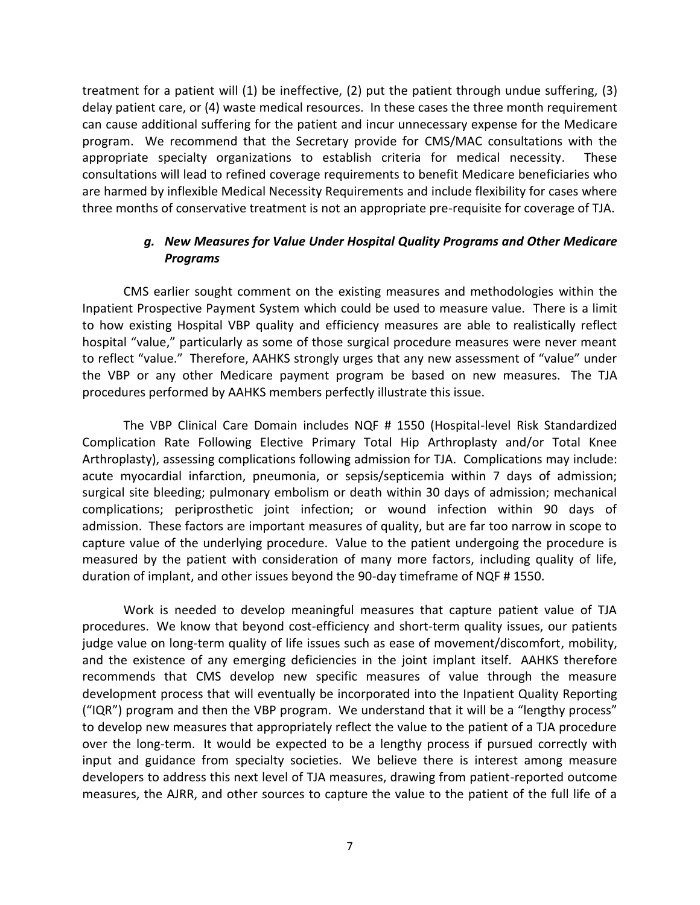treatment for a patient will (1) be ineffective, (2) put the patient through undue suffering, (3) delay patient care, or (4) waste medical resources. In these cases the three month requirement can cause additional suffering for the patient and incur unnecessary expense for the Medicare program. We recommend that the Secretary provide for CMS/MAC consultations with the appropriate specialty organizations to establish criteria for medical necessity. These consultations will lead to refined coverage requirements to benefit Medicare beneficiaries who are harmed by inflexible Medical Necessity Requirements and include flexibility for cases where three months of conservative treatment is not an appropriate pre-requisite for coverage of TJA.

## *g. New Measures for Value Under Hospital Quality Programs and Other Medicare Programs*

CMS earlier sought comment on the existing measures and methodologies within the Inpatient Prospective Payment System which could be used to measure value. There is a limit to how existing Hospital VBP quality and efficiency measures are able to realistically reflect hospital "value," particularly as some of those surgical procedure measures were never meant to reflect "value." Therefore, AAHKS strongly urges that any new assessment of "value" under the VBP or any other Medicare payment program be based on new measures. The TJA procedures performed by AAHKS members perfectly illustrate this issue.

The VBP Clinical Care Domain includes NQF # 1550 (Hospital-level Risk Standardized Complication Rate Following Elective Primary Total Hip Arthroplasty and/or Total Knee Arthroplasty), assessing complications following admission for TJA. Complications may include: acute myocardial infarction, pneumonia, or sepsis/septicemia within 7 days of admission; surgical site bleeding; pulmonary embolism or death within 30 days of admission; mechanical complications; periprosthetic joint infection; or wound infection within 90 days of admission. These factors are important measures of quality, but are far too narrow in scope to capture value of the underlying procedure. Value to the patient undergoing the procedure is measured by the patient with consideration of many more factors, including quality of life, duration of implant, and other issues beyond the 90-day timeframe of NQF # 1550.

Work is needed to develop meaningful measures that capture patient value of TJA procedures. We know that beyond cost-efficiency and short-term quality issues, our patients judge value on long-term quality of life issues such as ease of movement/discomfort, mobility, and the existence of any emerging deficiencies in the joint implant itself. AAHKS therefore recommends that CMS develop new specific measures of value through the measure development process that will eventually be incorporated into the Inpatient Quality Reporting ("IQR") program and then the VBP program. We understand that it will be a "lengthy process" to develop new measures that appropriately reflect the value to the patient of a TJA procedure over the long-term. It would be expected to be a lengthy process if pursued correctly with input and guidance from specialty societies. We believe there is interest among measure developers to address this next level of TJA measures, drawing from patient-reported outcome measures, the AJRR, and other sources to capture the value to the patient of the full life of a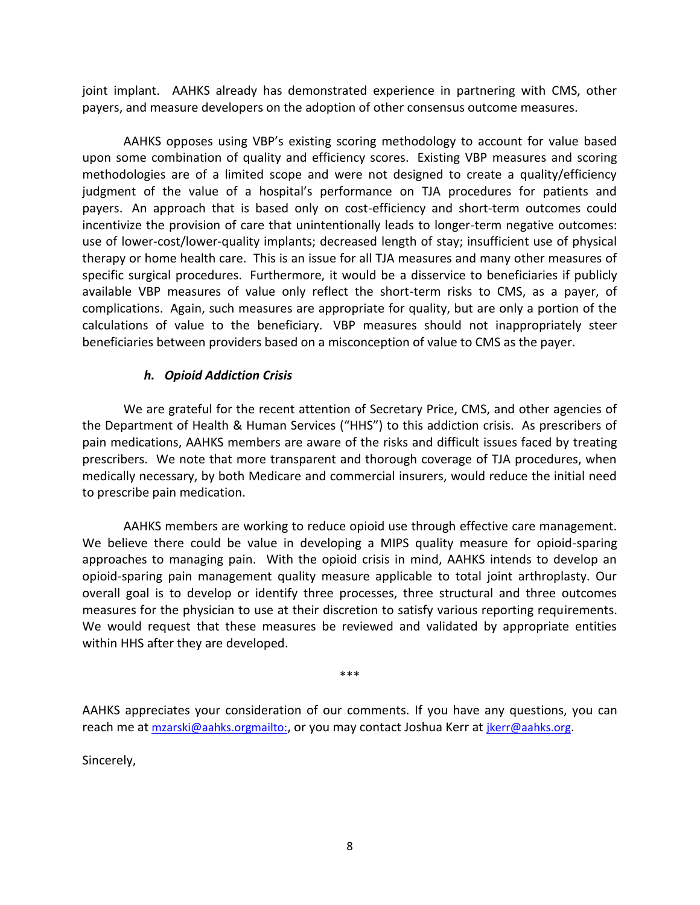joint implant. AAHKS already has demonstrated experience in partnering with CMS, other payers, and measure developers on the adoption of other consensus outcome measures.

AAHKS opposes using VBP's existing scoring methodology to account for value based upon some combination of quality and efficiency scores. Existing VBP measures and scoring methodologies are of a limited scope and were not designed to create a quality/efficiency judgment of the value of a hospital's performance on TJA procedures for patients and payers. An approach that is based only on cost-efficiency and short-term outcomes could incentivize the provision of care that unintentionally leads to longer-term negative outcomes: use of lower-cost/lower-quality implants; decreased length of stay; insufficient use of physical therapy or home health care. This is an issue for all TJA measures and many other measures of specific surgical procedures. Furthermore, it would be a disservice to beneficiaries if publicly available VBP measures of value only reflect the short-term risks to CMS, as a payer, of complications. Again, such measures are appropriate for quality, but are only a portion of the calculations of value to the beneficiary. VBP measures should not inappropriately steer beneficiaries between providers based on a misconception of value to CMS as the payer.

#### *h. Opioid Addiction Crisis*

We are grateful for the recent attention of Secretary Price, CMS, and other agencies of the Department of Health & Human Services ("HHS") to this addiction crisis. As prescribers of pain medications, AAHKS members are aware of the risks and difficult issues faced by treating prescribers. We note that more transparent and thorough coverage of TJA procedures, when medically necessary, by both Medicare and commercial insurers, would reduce the initial need to prescribe pain medication.

AAHKS members are working to reduce opioid use through effective care management. We believe there could be value in developing a MIPS quality measure for opioid-sparing approaches to managing pain. With the opioid crisis in mind, AAHKS intends to develop an opioid-sparing pain management quality measure applicable to total joint arthroplasty. Our overall goal is to develop or identify three processes, three structural and three outcomes measures for the physician to use at their discretion to satisfy various reporting requirements. We would request that these measures be reviewed and validated by appropriate entities within HHS after they are developed.

\*\*\*

AAHKS appreciates your consideration of our comments. If you have any questions, you can reach me at [mzarski@aahks.orgmailto:](file:///C:/NRPortbl/FIRM/PHALL/mzarski@aahks.org), or you may contact Joshua Kerr at [jkerr@aahks.org](mailto:jkerr@aahks.org).

Sincerely,